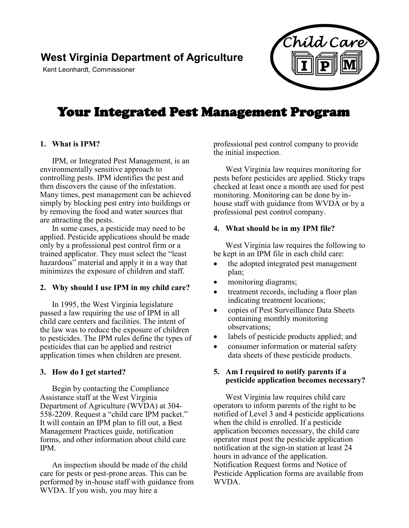## **West Virginia Department of Agriculture**

Kent Leonhardt, Commissioner



# Your Integrated Pest Management Program

#### **1. What is IPM?**

IPM, or Integrated Pest Management, is an environmentally sensitive approach to controlling pests. IPM identifies the pest and then discovers the cause of the infestation. Many times, pest management can be achieved simply by blocking pest entry into buildings or by removing the food and water sources that are attracting the pests.

In some cases, a pesticide may need to be applied. Pesticide applications should be made only by a professional pest control firm or a trained applicator. They must select the "least hazardous" material and apply it in a way that minimizes the exposure of children and staff.

#### **2. Why should I use IPM in my child care?**

In 1995, the West Virginia legislature passed a law requiring the use of IPM in all child care centers and facilities. The intent of the law was to reduce the exposure of children to pesticides. The IPM rules define the types of pesticides that can be applied and restrict application times when children are present.

#### **3. How do I get started?**

Begin by contacting the Compliance Assistance staff at the West Virginia Department of Agriculture (WVDA) at 304- 558-2209. Request a "child care IPM packet." It will contain an IPM plan to fill out, a Best Management Practices guide, notification forms, and other information about child care IPM.

An inspection should be made of the child care for pests or pest-prone areas. This can be performed by in-house staff with guidance from WVDA. If you wish, you may hire a

professional pest control company to provide the initial inspection.

West Virginia law requires monitoring for pests before pesticides are applied. Sticky traps checked at least once a month are used for pest monitoring. Monitoring can be done by inhouse staff with guidance from WVDA or by a professional pest control company.

#### **4. What should be in my IPM file?**

West Virginia law requires the following to be kept in an IPM file in each child care:

- the adopted integrated pest management plan;
- monitoring diagrams;
- treatment records, including a floor plan indicating treatment locations;
- copies of Pest Surveillance Data Sheets containing monthly monitoring observations;
- labels of pesticide products applied; and
- consumer information or material safety data sheets of these pesticide products.

## **5. Am I required to notify parents if a pesticide application becomes necessary?**

West Virginia law requires child care operators to inform parents of the right to be notified of Level 3 and 4 pesticide applications when the child is enrolled. If a pesticide application becomes necessary, the child care operator must post the pesticide application notification at the sign-in station at least 24 hours in advance of the application. Notification Request forms and Notice of Pesticide Application forms are available from WVDA.